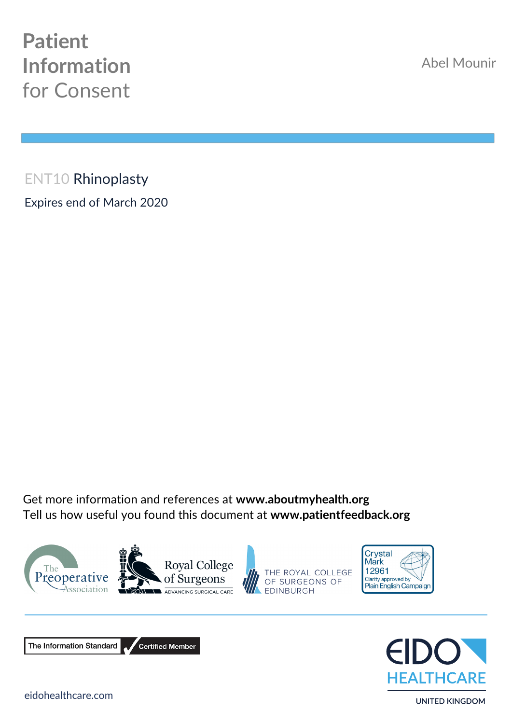## **Patient Information**  for Consent

Abel Mounir

ENT10 Rhinoplasty Expires end of March 2020

Get more information and references at **www.aboutmyhealth.org** Tell us how useful you found this document at **www.patientfeedback.org**







The Information Standard Certified Member **EALTHCARE** 

**UNITED KINGDOM**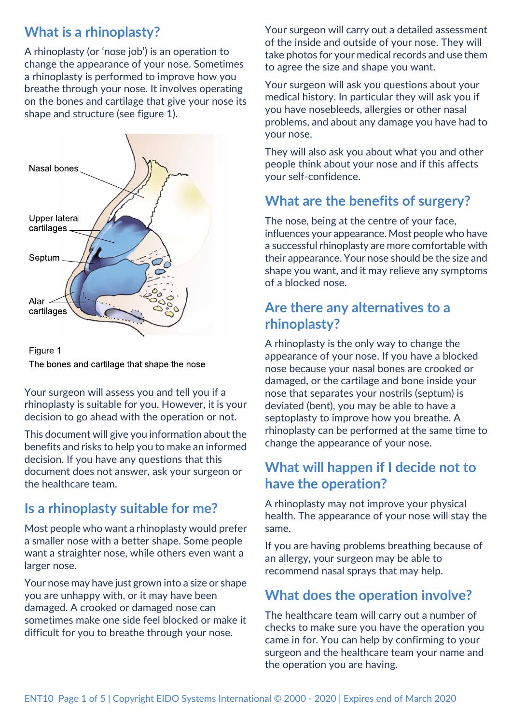## **What is a rhinoplasty?**

A rhinoplasty (or 'nose job') is an operation to change the appearance of your nose. Sometimes a rhinoplasty is performed to improve how you breathe through your nose. It involves operating on the bones and cartilage that give your nose its shape and structure (see figure 1).



Figure 1 The bones and cartilage that shape the nose

Your surgeon will assess you and tell you if a rhinoplasty is suitable for you. However, it is your decision to go ahead with the operation or not.

This document will give you information about the benefits and risks to help you to make an informed decision. If you have any questions that this document does not answer, ask your surgeon or the healthcare team.

## **Is a rhinoplasty suitable for me?**

Most people who want a rhinoplasty would prefer a smaller nose with a better shape. Some people want a straighter nose, while others even want a larger nose.

Your nose may have just grown into a size or shape you are unhappy with, or it may have been damaged. A crooked or damaged nose can sometimes make one side feel blocked or make it difficult for you to breathe through your nose.

Your surgeon will carry out a detailed assessment of the inside and outside of your nose. They will take photos for your medical records and use them to agree the size and shape you want.

Your surgeon will ask you questions about your medical history. In particular they will ask you if you have nosebleeds, allergies or other nasal problems, and about any damage you have had to your nose.

They will also ask you about what you and other people think about your nose and if this affects your self-confidence.

## **What are the benefits of surgery?**

The nose, being at the centre of your face, influences your appearance. Most people who have a successful rhinoplasty are more comfortable with their appearance. Your nose should be the size and shape you want, and it may relieve any symptoms of a blocked nose.

## **Are there any alternatives to a rhinoplasty?**

A rhinoplasty is the only way to change the appearance of your nose. If you have a blocked nose because your nasal bones are crooked or damaged, or the cartilage and bone inside your nose that separates your nostrils (septum) is deviated (bent), you may be able to have a septoplasty to improve how you breathe. A rhinoplasty can be performed at the same time to change the appearance of your nose.

## **What will happen if I decide not to have the operation?**

A rhinoplasty may not improve your physical health. The appearance of your nose will stay the same.

If you are having problems breathing because of an allergy, your surgeon may be able to recommend nasal sprays that may help.

## **What does the operation involve?**

The healthcare team will carry out a number of checks to make sure you have the operation you came in for. You can help by confirming to your surgeon and the healthcare team your name and the operation you are having.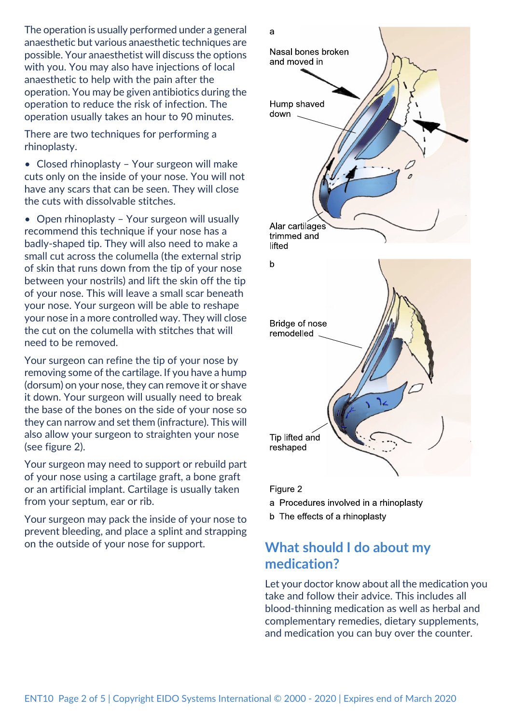The operation is usually performed under a general anaesthetic but various anaesthetic techniques are possible. Your anaesthetist will discuss the options with you. You may also have injections of local anaesthetic to help with the pain after the operation. You may be given antibiotics during the operation to reduce the risk of infection. The operation usually takes an hour to 90 minutes.

There are two techniques for performing a rhinoplasty.

• Closed rhinoplasty – Your surgeon will make cuts only on the inside of your nose. You will not have any scars that can be seen. They will close the cuts with dissolvable stitches.

• Open rhinoplasty – Your surgeon will usually recommend this technique if your nose has a badly-shaped tip. They will also need to make a small cut across the columella (the external strip of skin that runs down from the tip of your nose between your nostrils) and lift the skin off the tip of your nose. This will leave a small scar beneath your nose. Your surgeon will be able to reshape your nose in a more controlled way. They will close the cut on the columella with stitches that will need to be removed.

Your surgeon can refine the tip of your nose by removing some of the cartilage. If you have a hump (dorsum) on your nose, they can remove it or shave it down. Your surgeon will usually need to break the base of the bones on the side of your nose so they can narrow and set them (infracture). This will also allow your surgeon to straighten your nose (see figure 2).

Your surgeon may need to support or rebuild part of your nose using a cartilage graft, a bone graft or an artificial implant. Cartilage is usually taken from your septum, ear or rib.

Your surgeon may pack the inside of your nose to prevent bleeding, and place a splint and strapping on the outside of your nose for support. **What should I do about my**



#### Figure 2

- a Procedures involved in a rhinoplasty
- b The effects of a rhinoplasty

# **medication?**

Let your doctor know about all the medication you take and follow their advice. This includes all blood-thinning medication as well as herbal and complementary remedies, dietary supplements, and medication you can buy over the counter.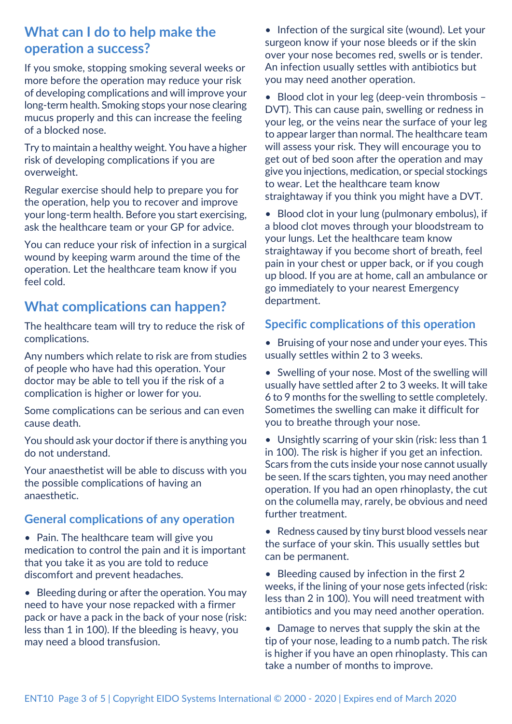## **What can I do to help make the operation a success?**

If you smoke, stopping smoking several weeks or more before the operation may reduce your risk of developing complications and will improve your long-term health. Smoking stops your nose clearing mucus properly and this can increase the feeling of a blocked nose.

Try to maintain a healthy weight. You have a higher risk of developing complications if you are overweight.

Regular exercise should help to prepare you for the operation, help you to recover and improve your long-term health. Before you start exercising, ask the healthcare team or your GP for advice.

You can reduce your risk of infection in a surgical wound by keeping warm around the time of the operation. Let the healthcare team know if you feel cold.

## **What complications can happen?**

The healthcare team will try to reduce the risk of complications.

Any numbers which relate to risk are from studies of people who have had this operation. Your doctor may be able to tell you if the risk of a complication is higher or lower for you.

Some complications can be serious and can even cause death.

You should ask your doctor if there is anything you do not understand.

Your anaesthetist will be able to discuss with you the possible complications of having an anaesthetic.

#### **General complications of any operation**

- Pain. The healthcare team will give you medication to control the pain and it is important that you take it as you are told to reduce discomfort and prevent headaches.
- Bleeding during or after the operation. You may need to have your nose repacked with a firmer pack or have a pack in the back of your nose (risk: less than 1 in 100). If the bleeding is heavy, you may need a blood transfusion.

• Infection of the surgical site (wound). Let your surgeon know if your nose bleeds or if the skin over your nose becomes red, swells or is tender. An infection usually settles with antibiotics but you may need another operation.

• Blood clot in your leg (deep-vein thrombosis -DVT). This can cause pain, swelling or redness in your leg, or the veins near the surface of your leg to appear larger than normal. The healthcare team will assess your risk. They will encourage you to get out of bed soon after the operation and may give you injections, medication, or special stockings to wear. Let the healthcare team know straightaway if you think you might have a DVT.

• Blood clot in your lung (pulmonary embolus), if a blood clot moves through your bloodstream to your lungs. Let the healthcare team know straightaway if you become short of breath, feel pain in your chest or upper back, or if you cough up blood. If you are at home, call an ambulance or go immediately to your nearest Emergency department.

#### **Specific complications of this operation**

• Bruising of your nose and under your eyes. This usually settles within 2 to 3 weeks.

• Swelling of your nose. Most of the swelling will usually have settled after 2 to 3 weeks. It will take 6 to 9 months for the swelling to settle completely. Sometimes the swelling can make it difficult for you to breathe through your nose.

• Unsightly scarring of your skin (risk: less than 1 in 100). The risk is higher if you get an infection. Scars from the cuts inside your nose cannot usually be seen. If the scars tighten, you may need another operation. If you had an open rhinoplasty, the cut on the columella may, rarely, be obvious and need further treatment.

• Redness caused by tiny burst blood vessels near the surface of your skin. This usually settles but can be permanent.

• Bleeding caused by infection in the first 2 weeks, if the lining of your nose gets infected (risk: less than 2 in 100). You will need treatment with antibiotics and you may need another operation.

• Damage to nerves that supply the skin at the tip of your nose, leading to a numb patch. The risk is higher if you have an open rhinoplasty. This can take a number of months to improve.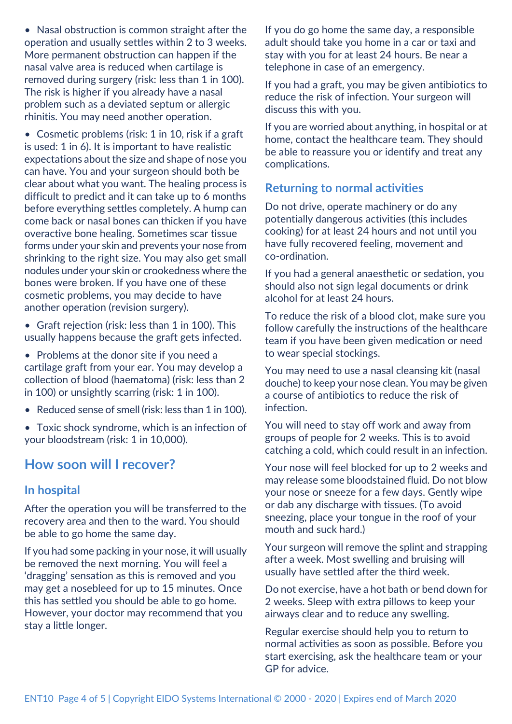nasal valve area is reduced when cartilage is removed during surgery (risk: less than 1 in 100). The risk is higher if you already have a nasal problem such as a deviated septum or allergic rhinitis. You may need another operation. • Cosmetic problems (risk: 1 in 10, risk if a graft is used: 1 in 6). It is important to have realistic

• Nasal obstruction is common straight after the operation and usually settles within 2 to 3 weeks. More permanent obstruction can happen if the

- expectations about the size and shape of nose you can have. You and your surgeon should both be clear about what you want. The healing process is difficult to predict and it can take up to 6 months before everything settles completely. A hump can come back or nasal bones can thicken if you have overactive bone healing. Sometimes scar tissue forms under your skin and prevents your nose from shrinking to the right size. You may also get small nodules under your skin or crookedness where the bones were broken. If you have one of these cosmetic problems, you may decide to have another operation (revision surgery).
- Graft rejection (risk: less than 1 in 100). This usually happens because the graft gets infected.
- Problems at the donor site if you need a cartilage graft from your ear. You may develop a collection of blood (haematoma) (risk: less than 2 in 100) or unsightly scarring (risk: 1 in 100).
- Reduced sense of smell (risk: less than 1 in 100).
- Toxic shock syndrome, which is an infection of your bloodstream (risk: 1 in 10,000).

## **How soon will I recover?**

#### **In hospital**

After the operation you will be transferred to the recovery area and then to the ward. You should be able to go home the same day.

If you had some packing in your nose, it will usually be removed the next morning. You will feel a 'dragging' sensation as this is removed and you may get a nosebleed for up to 15 minutes. Once this has settled you should be able to go home. However, your doctor may recommend that you stay a little longer.

If you do go home the same day, a responsible adult should take you home in a car or taxi and stay with you for at least 24 hours. Be near a telephone in case of an emergency.

If you had a graft, you may be given antibiotics to reduce the risk of infection. Your surgeon will discuss this with you.

If you are worried about anything, in hospital or at home, contact the healthcare team. They should be able to reassure you or identify and treat any complications.

#### **Returning to normal activities**

Do not drive, operate machinery or do any potentially dangerous activities (this includes cooking) for at least 24 hours and not until you have fully recovered feeling, movement and co-ordination.

If you had a general anaesthetic or sedation, you should also not sign legal documents or drink alcohol for at least 24 hours.

To reduce the risk of a blood clot, make sure you follow carefully the instructions of the healthcare team if you have been given medication or need to wear special stockings.

You may need to use a nasal cleansing kit (nasal douche) to keep your nose clean. You may be given a course of antibiotics to reduce the risk of infection.

You will need to stay off work and away from groups of people for 2 weeks. This is to avoid catching a cold, which could result in an infection.

Your nose will feel blocked for up to 2 weeks and may release some bloodstained fluid. Do not blow your nose or sneeze for a few days. Gently wipe or dab any discharge with tissues. (To avoid sneezing, place your tongue in the roof of your mouth and suck hard.)

Your surgeon will remove the splint and strapping after a week. Most swelling and bruising will usually have settled after the third week.

Do not exercise, have a hot bath or bend down for 2 weeks. Sleep with extra pillows to keep your airways clear and to reduce any swelling.

Regular exercise should help you to return to normal activities as soon as possible. Before you start exercising, ask the healthcare team or your GP for advice.